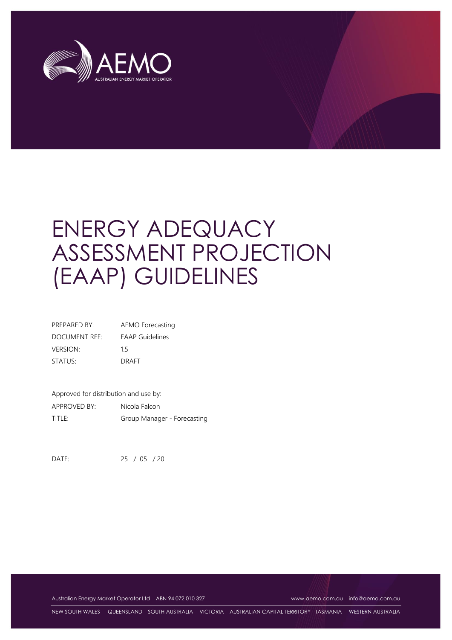

# ENERGY ADEQUACY ASSESSMENT PROJECTION (EAAP) GUIDELINES

| PREPARED BY:    | AEMO Forecasting       |
|-----------------|------------------------|
| DOCUMENT REF:   | <b>EAAP</b> Guidelines |
| <b>VERSION:</b> | 15                     |
| STATUS:         | <b>DRAFT</b>           |

Approved for distribution and use by: APPROVED BY: Nicola Falcon TITLE: Group Manager - Forecasting

DATE: 25 / 05 / 20

Australian Energy Market Operator Ltd ABN 94 072 010 327 [www.aemo.com.au](http://www.aemo.com.au/) [info@aemo.com.au](mailto:info@aemo.com.au)

NEW SOUTH WALES QUEENSLAND SOUTH AUSTRALIA VICTORIA AUSTRALIAN CAPITAL TERRITORY TASMANIA WESTERN AUSTRALIA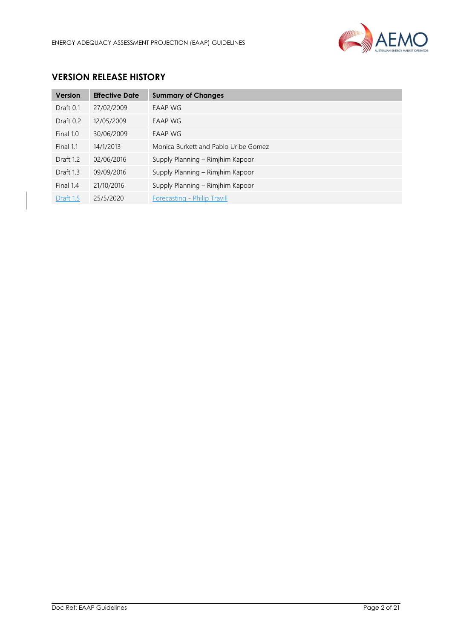

# **VERSION RELEASE HISTORY**

| <b>Version</b> | <b>Effective Date</b> | <b>Summary of Changes</b>            |
|----------------|-----------------------|--------------------------------------|
| Draft 0.1      | 27/02/2009            | <b>EAAP WG</b>                       |
| Draft $0.2$    | 12/05/2009            | EAAP WG                              |
| Final 1.0      | 30/06/2009            | EAAP WG                              |
| Final 1.1      | 14/1/2013             | Monica Burkett and Pablo Uribe Gomez |
| Draft 1.2      | 02/06/2016            | Supply Planning - Rimjhim Kapoor     |
| Draft 1.3      | 09/09/2016            | Supply Planning – Rimjhim Kapoor     |
| Final 1.4      | 21/10/2016            | Supply Planning - Rimjhim Kapoor     |
| Draft 1.5      | 25/5/2020             | Forecasting - Philip Travill         |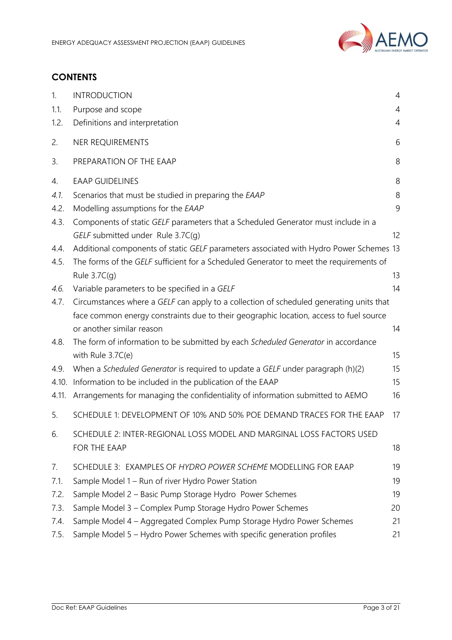

# **CONTENTS**

| 1.    | <b>INTRODUCTION</b>                                                                     | $\overline{4}$ |
|-------|-----------------------------------------------------------------------------------------|----------------|
| 1.1.  | Purpose and scope                                                                       | $\overline{4}$ |
| 1.2.  | Definitions and interpretation                                                          | $\overline{4}$ |
| 2.    | NER REQUIREMENTS                                                                        | 6              |
| 3.    | PREPARATION OF THE EAAP                                                                 | 8              |
| 4.    | <b>EAAP GUIDELINES</b>                                                                  | 8              |
| 4.1.  | Scenarios that must be studied in preparing the EAAP                                    | 8              |
| 4.2.  | Modelling assumptions for the EAAP                                                      | 9              |
| 4.3.  | Components of static GELF parameters that a Scheduled Generator must include in a       |                |
|       | GELF submitted under Rule 3.7C(g)                                                       | 12             |
| 4.4.  | Additional components of static GELF parameters associated with Hydro Power Schemes 13  |                |
| 4.5.  | The forms of the GELF sufficient for a Scheduled Generator to meet the requirements of  |                |
|       | Rule $3.7C(q)$                                                                          | 13             |
| 4.6.  | Variable parameters to be specified in a GELF                                           | 14             |
| 4.7.  | Circumstances where a GELF can apply to a collection of scheduled generating units that |                |
|       | face common energy constraints due to their geographic location, access to fuel source  |                |
|       | or another similar reason                                                               | 14             |
| 4.8.  | The form of information to be submitted by each Scheduled Generator in accordance       |                |
|       | with Rule 3.7C(e)                                                                       | 15             |
| 4.9.  | When a Scheduled Generator is required to update a GELF under paragraph (h)(2)          | 15             |
| 4.10. | Information to be included in the publication of the EAAP                               | 15             |
| 4.11. | Arrangements for managing the confidentiality of information submitted to AEMO          | 16             |
| 5.    | SCHEDULE 1: DEVELOPMENT OF 10% AND 50% POE DEMAND TRACES FOR THE EAAP                   | 17             |
| 6.    | SCHEDULE 2: INTER-REGIONAL LOSS MODEL AND MARGINAL LOSS FACTORS USED                    |                |
|       | FOR THE EAAP                                                                            | 18             |
| 7.    | SCHEDULE 3: EXAMPLES OF HYDRO POWER SCHEME MODELLING FOR EAAP                           | 19             |
| 7.1.  | Sample Model 1 – Run of river Hydro Power Station                                       | 19             |
| 7.2.  | Sample Model 2 - Basic Pump Storage Hydro Power Schemes                                 | 19             |
| 7.3.  | Sample Model 3 - Complex Pump Storage Hydro Power Schemes                               | 20             |
| 7.4.  | Sample Model 4 - Aggregated Complex Pump Storage Hydro Power Schemes                    | 21             |
| 7.5.  | Sample Model 5 - Hydro Power Schemes with specific generation profiles                  | 21             |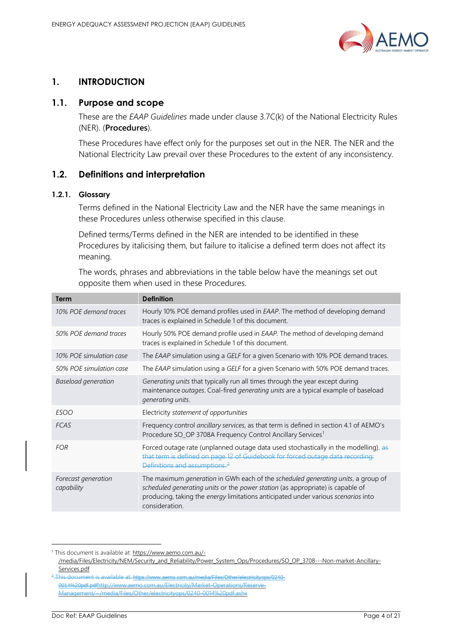

# <span id="page-3-0"></span>**1. INTRODUCTION**

## <span id="page-3-1"></span>**1.1. Purpose and scope**

These are the *EAAP Guidelines* made under clause 3.7C(k) of the National Electricity Rules (NER). (**Procedures**).

These Procedures have effect only for the purposes set out in the NER. The NER and the National Electricity Law prevail over these Procedures to the extent of any inconsistency.

# <span id="page-3-2"></span>**1.2. Definitions and interpretation**

## **1.2.1. Glossary**

Terms defined in the National Electricity Law and the NER have the same meanings in these Procedures unless otherwise specified in this clause.

Defined terms/Terms defined in the NER are intended to be identified in these Procedures by italicising them, but failure to italicise a defined term does not affect its meaning.

The words, phrases and abbreviations in the table below have the meanings set out opposite them when used in these Procedures.

| Term                              | <b>Definition</b>                                                                                                                                                                                                                                                                        |
|-----------------------------------|------------------------------------------------------------------------------------------------------------------------------------------------------------------------------------------------------------------------------------------------------------------------------------------|
| 10% POE demand traces             | Hourly 10% POE demand profiles used in EAAP. The method of developing demand<br>traces is explained in Schedule 1 of this document.                                                                                                                                                      |
| 50% POE demand traces             | Hourly 50% POE demand profile used in <i>EAAP</i> . The method of developing demand<br>traces is explained in Schedule 1 of this document.                                                                                                                                               |
| 10% POE simulation case           | The EAAP simulation using a GELF for a given Scenario with 10% POE demand traces.                                                                                                                                                                                                        |
| 50% POE simulation case           | The EAAP simulation using a GELF for a given Scenario with 50% POE demand traces.                                                                                                                                                                                                        |
| <b>Baseload generation</b>        | Generating units that typically run all times through the year except during<br>maintenance outages. Coal-fired generating units are a typical example of baseload<br>generating units.                                                                                                  |
| ESOO                              | Electricity statement of opportunities                                                                                                                                                                                                                                                   |
| FCAS                              | Frequency control ancillary services, as that term is defined in section 4.1 of AEMO's<br>Procedure SO_OP 3708A Frequency Control Ancillary Services <sup>1</sup>                                                                                                                        |
| <b>FOR</b>                        | Forced outage rate (unplanned outage data used stochastically in the modelling). as<br>that term is defined on page 12 of Guidebook for forced outage data recording:<br>Definitions and assumptions. <sup>2</sup>                                                                       |
| Forecast generation<br>capability | The maximum <i>generation</i> in GWh each of the <i>scheduled generating units</i> , a group of<br>scheduled generating units or the power station (as appropriate) is capable of<br>producing, taking the energy limitations anticipated under various scenarios into<br>consideration. |

<sup>1</sup> This document is available at[: https://www.aemo.com.au/-](https://www.aemo.com.au/-/media/Files/Electricity/NEM/Security_and_Reliability/Power_System_Ops/Procedures/SO_OP_3708---Non-market-Ancillary-Services.pdf)

[<sup>/</sup>media/Files/Electricity/NEM/Security\\_and\\_Reliability/Power\\_System\\_Ops/Procedures/SO\\_OP\\_3708---Non-market-Ancillary-](https://www.aemo.com.au/-/media/Files/Electricity/NEM/Security_and_Reliability/Power_System_Ops/Procedures/SO_OP_3708---Non-market-Ancillary-Services.pdf)[Services.pdf](https://www.aemo.com.au/-/media/Files/Electricity/NEM/Security_and_Reliability/Power_System_Ops/Procedures/SO_OP_3708---Non-market-Ancillary-Services.pdf)

<sup>&</sup>lt;sup>2</sup> This document is available at: https://www.aemo.com.au/media/Files/Other/electricityops/0240-0014%20pdf.pdfhttp://www.aemo.com.au/Electricity/Market-Operations/Reserve-Management/~/media/Files/Other/electricityops/0240-0014%20pdf.ashx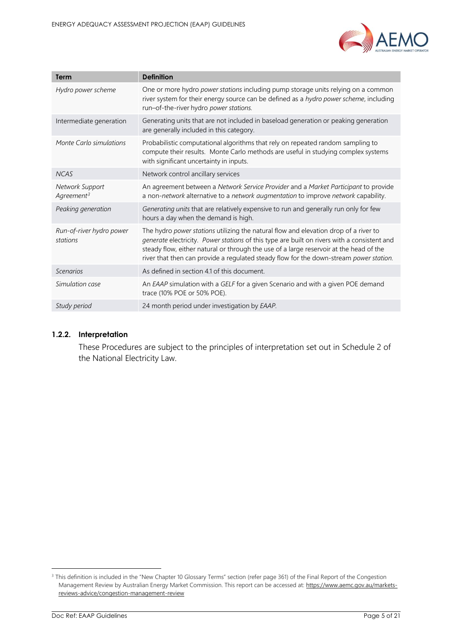

| Term                                 | <b>Definition</b>                                                                                                                                                                                                                                                                                                                                                       |
|--------------------------------------|-------------------------------------------------------------------------------------------------------------------------------------------------------------------------------------------------------------------------------------------------------------------------------------------------------------------------------------------------------------------------|
| Hydro power scheme                   | One or more hydro power stations including pump storage units relying on a common<br>river system for their energy source can be defined as a hydro power scheme, including<br>run-of-the-river hydro power stations.                                                                                                                                                   |
| Intermediate generation              | Generating units that are not included in baseload generation or peaking generation<br>are generally included in this category.                                                                                                                                                                                                                                         |
| Monte Carlo simulations              | Probabilistic computational algorithms that rely on repeated random sampling to<br>compute their results. Monte Carlo methods are useful in studying complex systems<br>with significant uncertainty in inputs.                                                                                                                                                         |
| <b>NCAS</b>                          | Network control ancillary services                                                                                                                                                                                                                                                                                                                                      |
| Network Support<br>$Agreenent^3$     | An agreement between a Network Service Provider and a Market Participant to provide<br>a non-network alternative to a network augmentation to improve network capability.                                                                                                                                                                                               |
| Peaking generation                   | Generating units that are relatively expensive to run and generally run only for few<br>hours a day when the demand is high.                                                                                                                                                                                                                                            |
| Run-of-river hydro power<br>stations | The hydro power stations utilizing the natural flow and elevation drop of a river to<br>generate electricity. Power stations of this type are built on rivers with a consistent and<br>steady flow, either natural or through the use of a large reservoir at the head of the<br>river that then can provide a regulated steady flow for the down-stream power station. |
| Scenarios                            | As defined in section 4.1 of this document.                                                                                                                                                                                                                                                                                                                             |
| Simulation case                      | An EAAP simulation with a GELF for a given Scenario and with a given POE demand<br>trace (10% POE or 50% POE).                                                                                                                                                                                                                                                          |
| Study period                         | 24 month period under investigation by EAAP.                                                                                                                                                                                                                                                                                                                            |

## **1.2.2. Interpretation**

These Procedures are subject to the principles of interpretation set out in Schedule 2 of the National Electricity Law.

<sup>&</sup>lt;sup>3</sup> This definition is included in the "New Chapter 10 Glossary Terms" section (refer page 361) of the Final Report of the Congestion Management Review by Australian Energy Market Commission. This report can be accessed at[: https://www.aemc.gov.au/markets](https://www.aemc.gov.au/markets-reviews-advice/congestion-management-review)[reviews-advice/congestion-management-review](https://www.aemc.gov.au/markets-reviews-advice/congestion-management-review)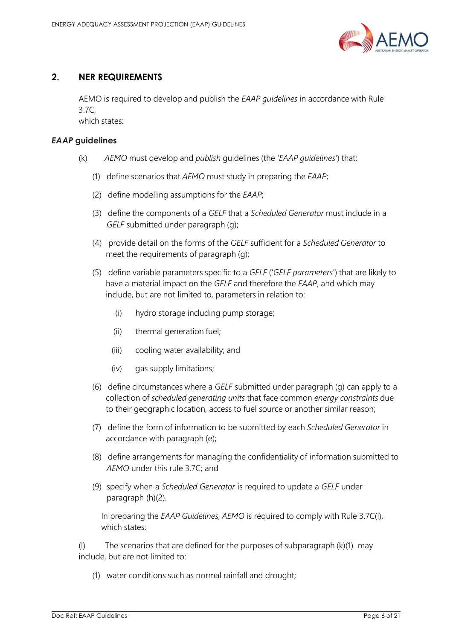

# <span id="page-5-0"></span>**2. NER REQUIREMENTS**

AEMO is required to develop and publish the *EAAP guidelines* in accordance with Rule 3.7C,

which states:

## *EAAP* **guidelines**

- (k) *AEMO* must develop and *publish* guidelines (the *'EAAP guidelines*') that:
	- (1) define scenarios that *AEMO* must study in preparing the *EAAP*;
	- (2) define modelling assumptions for the *EAAP*;
	- (3) define the components of a *GELF* that a *Scheduled Generator* must include in a *GELF* submitted under paragraph (g);
	- (4) provide detail on the forms of the *GELF* sufficient for a *Scheduled Generator* to meet the requirements of paragraph (g);
	- (5) define variable parameters specific to a *GELF* ('*GELF parameters*') that are likely to have a material impact on the *GELF* and therefore the *EAAP*, and which may include, but are not limited to, parameters in relation to:
		- (i) hydro storage including pump storage;
		- (ii) thermal generation fuel;
		- (iii) cooling water availability; and
		- (iv) gas supply limitations;
	- (6) define circumstances where a *GELF* submitted under paragraph (g) can apply to a collection of *scheduled generating units* that face common *energy constraints* due to their geographic location, access to fuel source or another similar reason;
	- (7) define the form of information to be submitted by each *Scheduled Generator* in accordance with paragraph (e);
	- (8) define arrangements for managing the confidentiality of information submitted to *AEMO* under this rule 3.7C; and
	- (9) specify when a *Scheduled Generator* is required to update a *GELF* under paragraph (h)(2).

In preparing the *EAAP Guidelines, AEMO* is required to comply with Rule 3.7C(l), which states:

(l) The scenarios that are defined for the purposes of subparagraph (k)(1) may include, but are not limited to:

(1) water conditions such as normal rainfall and drought;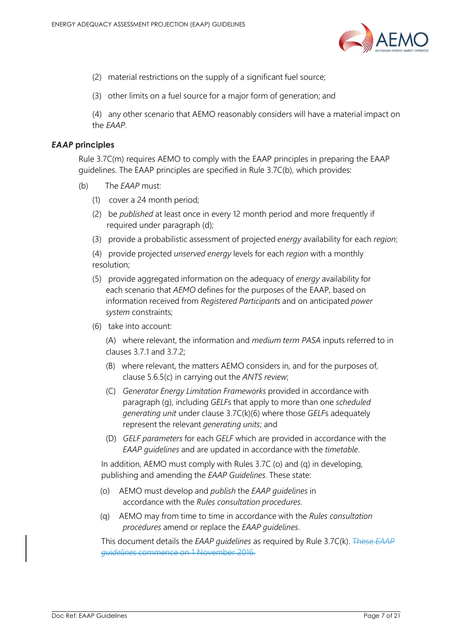

- (2) material restrictions on the supply of a significant fuel source;
- (3) other limits on a fuel source for a major form of generation; and

(4) any other scenario that AEMO reasonably considers will have a material impact on the *EAAP*.

## *EAAP* **principles**

Rule 3.7C(m) requires AEMO to comply with the EAAP principles in preparing the EAAP guidelines. The EAAP principles are specified in Rule 3.7C(b), which provides:

- (b) The *EAAP* must:
	- (1) cover a 24 month period;
	- (2) be *published* at least once in every 12 month period and more frequently if required under paragraph (d);
	- (3) provide a probabilistic assessment of projected *energy* availability for each *region*;

(4) provide projected *unserved energy* levels for each *region* with a monthly resolution;

- (5) provide aggregated information on the adequacy of *energy* availability for each scenario that *AEMO* defines for the purposes of the EAAP, based on information received from *Registered Participants* and on anticipated *power system* constraints;
- (6) take into account:

(A) where relevant, the information and *medium term PASA* inputs referred to in clauses 3.7.1 and 3.7.2;

- (B) where relevant, the matters AEMO considers in, and for the purposes of, clause 5.6.5(c) in carrying out the *ANTS review*;
- (C) *Generator Energy Limitation Frameworks* provided in accordance with paragraph (g), including *GELF*s that apply to more than one *scheduled generating unit* under clause 3.7C(k)(6) where those *GELF*s adequately represent the relevant *generating units*; and
- (D) *GELF parameters* for each *GELF* which are provided in accordance with the *EAAP guidelines* and are updated in accordance with the *timetable*.

In addition, AEMO must comply with Rules 3.7C (o) and (q) in developing, publishing and amending the *EAAP Guidelines*. These state:

- (o) AEMO must develop and *publish* the *EAAP guidelines* in accordance with the *Rules consultation procedures*.
- (q) AEMO may from time to time in accordance with the *Rules consultation procedures* amend or replace the *EAAP guidelines*.

This document details the *EAAP guidelines* as required by Rule 3.7C(k). These *EAAP guidelines* commence on 1 November 2016.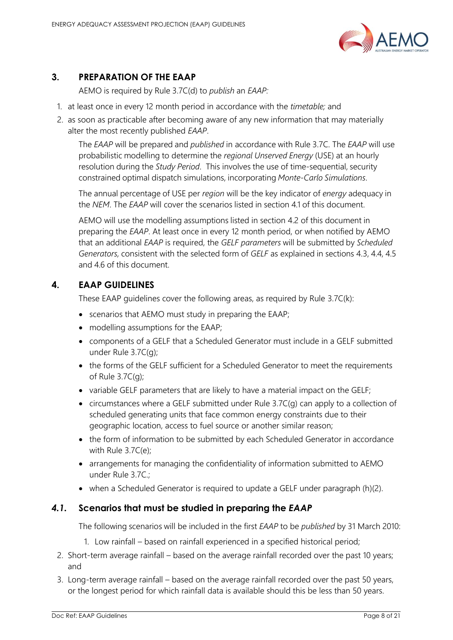

# <span id="page-7-0"></span>**3. PREPARATION OF THE EAAP**

AEMO is required by Rule 3.7C(d) to *publish* an *EAAP:*

- 1. at least once in every 12 month period in accordance with the *timetable;* and
- 2. as soon as practicable after becoming aware of any new information that may materially alter the most recently published *EAAP*.

The *EAAP* will be prepared and *published* in accordance with Rule 3.7C. The *EAAP* will use probabilistic modelling to determine the *regional Unserved Energy* (USE) at an hourly resolution during the *Study Period*. This involves the use of time-sequential, security constrained optimal dispatch simulations, incorporating *Monte-Carlo Simulations*.

The annual percentage of USE per *region* will be the key indicator of *energy* adequacy in the *NEM*. The *EAAP* will cover the scenarios listed in section [4.1](#page-7-3) of this document.

AEMO will use the modelling assumptions listed in section [4.2](#page-8-1) of this document in preparing the *EAAP*. At least once in every 12 month period, or when notified by AEMO that an additional *EAAP* is required, the *GELF parameters* will be submitted by *Scheduled Generators,* consistent with the selected form of *GELF* as explained in sections [4.3,](#page-11-1) [4.4,](#page-12-2) [4.5](#page-12-3) and [4.6](#page-13-2) of this document.

# <span id="page-7-1"></span>**4. EAAP GUIDELINES**

These EAAP guidelines cover the following areas, as required by Rule 3.7C(k):

- scenarios that AEMO must study in preparing the EAAP;
- modelling assumptions for the EAAP;
- components of a GELF that a Scheduled Generator must include in a GELF submitted under Rule 3.7C(g);
- the forms of the GELF sufficient for a Scheduled Generator to meet the requirements of Rule 3.7C(g);
- variable GELF parameters that are likely to have a material impact on the GELF;
- circumstances where a GELF submitted under Rule 3.7C(g) can apply to a collection of scheduled generating units that face common energy constraints due to their geographic location, access to fuel source or another similar reason;
- the form of information to be submitted by each Scheduled Generator in accordance with Rule 3.7C(e);
- arrangements for managing the confidentiality of information submitted to AEMO under Rule 3.7C.;
- when a Scheduled Generator is required to update a GELF under paragraph (h)(2).

# <span id="page-7-3"></span><span id="page-7-2"></span>*4.1.* **Scenarios that must be studied in preparing the** *EAAP*

The following scenarios will be included in the first *EAAP* to be *published* by 31 March 2010:

- 1. Low rainfall based on rainfall experienced in a specified historical period;
- 2. Short-term average rainfall based on the average rainfall recorded over the past 10 years; and
- 3. Long-term average rainfall based on the average rainfall recorded over the past 50 years, or the longest period for which rainfall data is available should this be less than 50 years.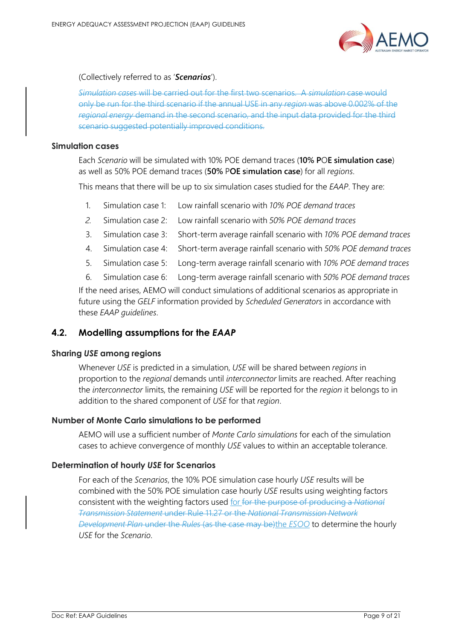

(Collectively referred to as '*Scenarios*').

*Simulation cases* will be carried out for the first two scenarios. A *simulation* case would only be run for the third scenario if the annual USE in any *region* was above 0.002% of the *regional energy* demand in the second scenario, and the input data provided for the third scenario suggested potentially improved conditions.

## **Simulation cases**

Each *Scenario* will be simulated with 10% POE demand traces (**10% P**O**E simulation case**) as well as 50% POE demand traces (**50%** P**OE s**i**mulation case**) for all *regions*.

This means that there will be up to six simulation cases studied for the *EAAP*. They are:

- 1. Simulation case 1: Low rainfall scenario with *10% POE demand traces*
- *2.* Simulation case 2: Low rainfall scenario with *50% POE demand traces*
- 3. Simulation case 3: Short-term average rainfall scenario with *10% POE demand traces*
- 4. Simulation case 4: Short-term average rainfall scenario with *50% POE demand traces*
- 5. Simulation case 5: Long-term average rainfall scenario with *10% POE demand traces*
- 6. Simulation case 6: Long-term average rainfall scenario with *50% POE demand traces*

If the need arises, AEMO will conduct simulations of additional scenarios as appropriate in future using the *GELF* information provided by *Scheduled Generators* in accordance with these *EAAP guidelines*.

## <span id="page-8-1"></span><span id="page-8-0"></span>**4.2. Modelling assumptions for the** *EAAP*

## **Sharing** *USE* **among regions**

Whenever *USE* is predicted in a simulation, *USE* will be shared between *regions* in proportion to the *regional* demands until *interconnector* limits are reached. After reaching the *interconnector* limits, the remaining *USE* will be reported for the *region* it belongs to in addition to the shared component of *USE* for that *region*.

## **Number of Monte Carlo simulations to be performed**

AEMO will use a sufficient number of *Monte Carlo simulations* for each of the simulation cases to achieve convergence of monthly *USE* values to within an acceptable tolerance.

## **Determination of hourly** *USE* **for Scenarios**

For each of the *Scenarios*, the 10% POE simulation case hourly *USE* results will be combined with the 50% POE simulation case hourly *USE* results using weighting factors consistent with the weighting factors used for for the purpose of producing a *National Transmission Statement* under Rule 11.27 or the *National Transmission Network Development Plan* under the *Rules* (as the case may be)the *ESOO* to determine the hourly *USE* for the *Scenario*.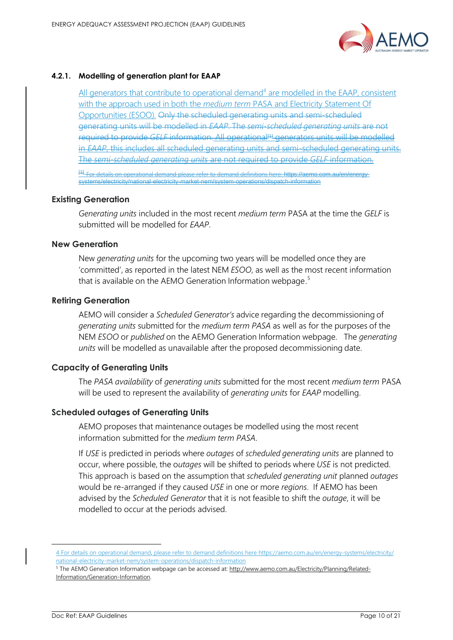

## **4.2.1. Modelling of generation plant for EAAP**

All generators that contribute to operational demand<sup>4</sup> are modelled in the EAAP, consistent with the approach used in both the *medium term* PASA and Electricity Statement Of Opportunities (ESOO). Only the scheduled generating units and semi-scheduled generating units will be modelled in *EAAP*. The *semi-scheduled generating units* are not required to provide *GELF* information. All operational<sup>[1]</sup> generators units will be modelled in *EAAP*, this includes all scheduled generating units and semi-scheduled generating units. The *semi-scheduled generating units* are not required to provide *GELF* information. on operational demand please refer to demand definitions here: https://aemo.com.au/en/energy-

## **Existing Generation**

*Generating units* included in the most recent *medium term* PASA at the time the *GELF* is submitted will be modelled for *EAAP*.

systems/electricity/national-electricity-market-nem/system-operations/dispatch-information

## **New Generation**

New *generating units* for the upcoming two years will be modelled once they are 'committed', as reported in the latest NEM *ESOO*, as well as the most recent information that is available on the AEMO Generation Information webpage.<sup>5</sup>

## **Retiring Generation**

AEMO will consider a *Scheduled Generator's* advice regarding the decommissioning of *generating units* submitted for the *medium term PASA* as well as for the purposes of the NEM *ESOO* or *published* on the AEMO Generation Information webpage. The *generating units* will be modelled as unavailable after the proposed decommissioning date.

## **Capacity of Generating Units**

The *PASA availability* of *generating units* submitted for the most recent *medium term* PASA will be used to represent the availability of *generating units* for *EAAP* modelling.

## **Scheduled outages of Generating Units**

AEMO proposes that maintenance outages be modelled using the most recent information submitted for the *medium term PASA*.

If *USE* is predicted in periods where *outages* of *scheduled generating units* are planned to occur, where possible, the o*utages* will be shifted to periods where *USE* is not predicted. This approach is based on the assumption that *scheduled generating unit* planned *outages* would be re-arranged if they caused *USE* in one or more *regions*. If AEMO has been advised by the *Scheduled Generator* that it is not feasible to shift the *outage*, it will be modelled to occur at the periods advised.

<sup>4</sup> For details on operational demand, please refer to demand definitions her[e https://aemo.com.au/en/energy-systems/electricity/](https://aemo.com.au/en/energy-systems/electricity/national-electricity-market-nem/system-operations/dispatch-information) [national-electricity-market-nem/system-operations/dispatch-information](https://aemo.com.au/en/energy-systems/electricity/national-electricity-market-nem/system-operations/dispatch-information) 

<sup>&</sup>lt;sup>5</sup> The AEMO Generation Information webpage can be accessed at: http://www.aemo.com.au/Electricity/Planning/Related-Information/Generation-Information.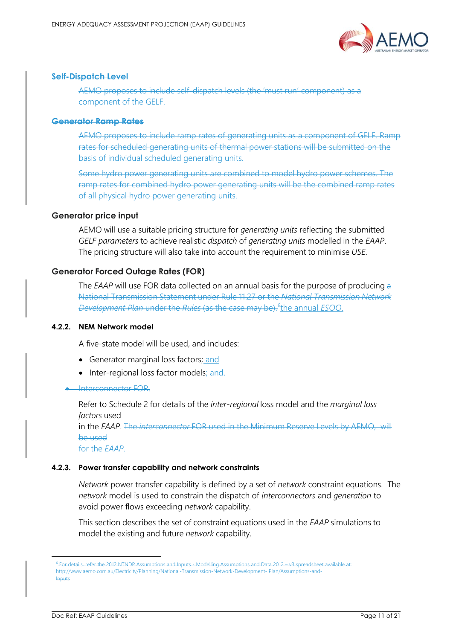

#### **Self-Dispatch Level**

AEMO proposes to include self-dispatch levels (the 'must run' component) as a component of the GELF.

#### **Generator Ramp Rates**

AEMO proposes to include ramp rates of generating units as a component of GELF. Ramp rates for scheduled generating units of thermal power stations will be submitted on the basis of individual scheduled generating units.

Some hydro power generating units are combined to model hydro power schemes. The ramp rates for combined hydro power generating units will be the combined ramp rates of all physical hydro power generating units.

#### **Generator price input**

AEMO will use a suitable pricing structure for *generating units* reflecting the submitted *GELF parameters* to achieve realistic *dispatch* of *generating units* modelled in the *EAAP*. The pricing structure will also take into account the requirement to minimise *USE*.

## **Generator Forced Outage Rates (FOR)**

The *EAAP* will use FOR data collected on an annual basis for the purpose of producing a National Transmission Statement under Rule 11.27 or the *National Transmission Network Development Plan* under the *Rules* (as the case may be). 6 the annual *ESOO*.

#### **4.2.2. NEM Network model**

A five-state model will be used, and includes:

- Generator marginal loss factors; and
- Inter-regional loss factor models; and.

#### • Interconnector FOR.

Refer to Schedule 2 for details of the *inter-regional* loss model and the *marginal loss factors* used

in the *EAAP*. The *interconnector* FOR used in the Minimum Reserve Levels by AEMO, will be used

for the *EAAP*.

#### **4.2.3. Power transfer capability and network constraints**

*Network* power transfer capability is defined by a set of *network* constraint equations. The *network* model is used to constrain the dispatch of *interconnectors* and *generation* to avoid power flows exceeding *network* capability.

This section describes the set of constraint equations used in the *EAAP* simulations to model the existing and future *network* capability.

<sup>6</sup> For details, refer the 2012 NTNDP Assumptions and Inputs - Modelling Assumptions and Data 2012 – v3 spreadsheet available at: http://www.aemo.com.au/Electricity/Planning/National-Transmission-Network-Development- Plan/Assumptions-and-Inputs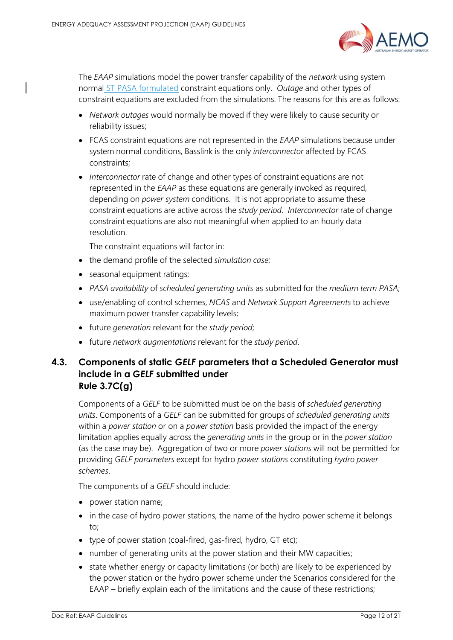

The *EAAP* simulations model the power transfer capability of the *network* using system normal ST PASA formulated constraint equations only. *Outage* and other types of constraint equations are excluded from the simulations. The reasons for this are as follows:

- *Network outages* would normally be moved if they were likely to cause security or reliability issues;
- FCAS constraint equations are not represented in the *EAAP* simulations because under system normal conditions, Basslink is the only *interconnector* affected by FCAS constraints;
- *Interconnector* rate of change and other types of constraint equations are not represented in the *EAAP* as these equations are generally invoked as required, depending on *power system* conditions. It is not appropriate to assume these constraint equations are active across the *study period*. *Interconnector* rate of change constraint equations are also not meaningful when applied to an hourly data resolution.

The constraint equations will factor in:

- the demand profile of the selected *simulation case*;
- seasonal equipment ratings;
- *PASA availability* of *scheduled generating units* as submitted for the *medium term PASA*;
- use/enabling of control schemes, *NCAS* and *Network Support Agreements* to achieve maximum power transfer capability levels;
- future *generation* relevant for the *study period*;
- future *network augmentations* relevant for the *study period*.

# <span id="page-11-1"></span><span id="page-11-0"></span>**4.3. Components of static** *GELF* **parameters that a Scheduled Generator must include in a** *GELF* **submitted under Rule 3.7C(g)**

Components of a *GELF* to be submitted must be on the basis of *scheduled generating units*. Components of a *GELF* can be submitted for groups of *scheduled generating units* within a *power station* or on a *power station* basis provided the impact of the energy limitation applies equally across the *generating units* in the group or in the *power station* (as the case may be). Aggregation of two or more *power stations* will not be permitted for providing *GELF parameters* except for hydro *power stations* constituting *hydro power schemes*.

The components of a *GELF* should include:

- power station name;
- in the case of hydro power stations, the name of the hydro power scheme it belongs to;
- type of power station (coal-fired, gas-fired, hydro, GT etc);
- number of generating units at the power station and their MW capacities;
- state whether energy or capacity limitations (or both) are likely to be experienced by the power station or the hydro power scheme under the Scenarios considered for the EAAP – briefly explain each of the limitations and the cause of these restrictions;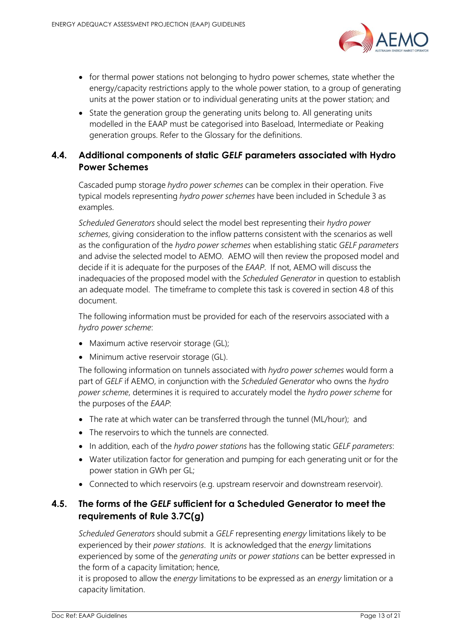

- for thermal power stations not belonging to hydro power schemes, state whether the energy/capacity restrictions apply to the whole power station, to a group of generating units at the power station or to individual generating units at the power station; and
- State the generation group the generating units belong to. All generating units modelled in the EAAP must be categorised into Baseload, Intermediate or Peaking generation groups. Refer to the Glossary for the definitions.

# <span id="page-12-2"></span><span id="page-12-0"></span>**4.4. Additional components of static** *GELF* **parameters associated with Hydro Power Schemes**

Cascaded pump storage *hydro power schemes* can be complex in their operation. Five typical models representing *hydro power schemes* have been included in Schedule 3 as examples.

*Scheduled Generators* should select the model best representing their *hydro power schemes*, giving consideration to the inflow patterns consistent with the scenarios as well as the configuration of the *hydro power schemes* when establishing static *GELF parameters* and advise the selected model to AEMO. AEMO will then review the proposed model and decide if it is adequate for the purposes of the *EAAP*. If not, AEMO will discuss the inadequacies of the proposed model with the *Scheduled Generator* in question to establish an adequate model. The timeframe to complete this task is covered in section [4.8](#page-14-3) of this document.

The following information must be provided for each of the reservoirs associated with a *hydro power scheme*:

- Maximum active reservoir storage (GL);
- Minimum active reservoir storage (GL).

The following information on tunnels associated with *hydro power schemes* would form a part of *GELF* if AEMO, in conjunction with the *Scheduled Generator* who owns the *hydro power scheme*, determines it is required to accurately model the *hydro power scheme* for the purposes of the *EAAP*:

- The rate at which water can be transferred through the tunnel (ML/hour); and
- The reservoirs to which the tunnels are connected.
- In addition, each of the *hydro power stations* has the following static *GELF parameters*:
- Water utilization factor for generation and pumping for each generating unit or for the power station in GWh per GL;
- Connected to which reservoirs (e.g. upstream reservoir and downstream reservoir).

# <span id="page-12-3"></span><span id="page-12-1"></span>**4.5. The forms of the** *GELF* **sufficient for a Scheduled Generator to meet the requirements of Rule 3.7C(g)**

*Scheduled Generators* should submit a *GELF* representing *energy* limitations likely to be experienced by their *power stations*. It is acknowledged that the *energy* limitations experienced by some of the *generating units* or *power stations* can be better expressed in the form of a capacity limitation; hence,

it is proposed to allow the *energy* limitations to be expressed as an *energy* limitation or a capacity limitation.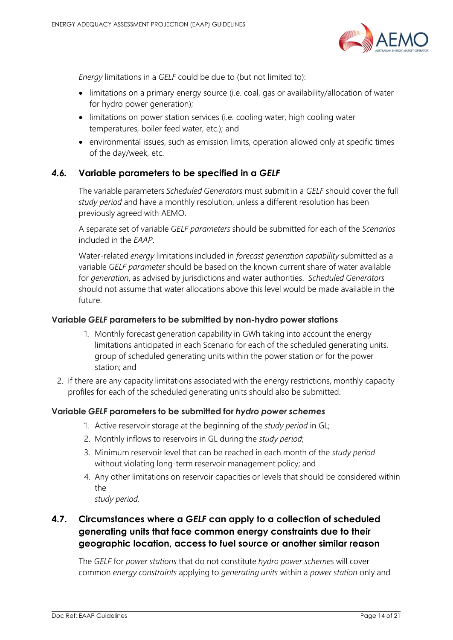

*Energy* limitations in a *GELF* could be due to (but not limited to):

- limitations on a primary energy source (i.e. coal, gas or availability/allocation of water for hydro power generation);
- limitations on power station services (i.e. cooling water, high cooling water temperatures, boiler feed water, etc.); and
- environmental issues, such as emission limits, operation allowed only at specific times of the day/week, etc.

## <span id="page-13-2"></span><span id="page-13-0"></span>*4.6.* **Variable parameters to be specified in a** *GELF*

The variable parameters *Scheduled Generators* must submit in a *GELF* should cover the full *study period* and have a monthly resolution, unless a different resolution has been previously agreed with AEMO.

A separate set of variable *GELF parameters* should be submitted for each of the *Scenarios* included in the *EAAP*.

Water-related *energy* limitations included in *forecast generation capability* submitted as a variable *GELF parameter* should be based on the known current share of water available for *generation*, as advised by jurisdictions and water authorities. *Scheduled Generators* should not assume that water allocations above this level would be made available in the future.

## **Variable** *GELF* **parameters to be submitted by non-hydro power stations**

- 1. Monthly forecast generation capability in GWh taking into account the energy limitations anticipated in each Scenario for each of the scheduled generating units, group of scheduled generating units within the power station or for the power station; and
- 2. If there are any capacity limitations associated with the energy restrictions, monthly capacity profiles for each of the scheduled generating units should also be submitted.

## **Variable** *GELF* **parameters to be submitted for** *hydro power schemes*

- 1. Active reservoir storage at the beginning of the *study period* in GL;
- 2. Monthly inflows to reservoirs in GL during the *study period*;
- 3. Minimum reservoir level that can be reached in each month of the *study period* without violating long-term reservoir management policy; and
- 4. Any other limitations on reservoir capacities or levels that should be considered within the

*study period*.

# <span id="page-13-1"></span>**4.7. Circumstances where a** *GELF* **can apply to a collection of scheduled generating units that face common energy constraints due to their geographic location, access to fuel source or another similar reason**

The *GELF* for *power stations* that do not constitute *hydro power schemes* will cover common *energy constraints* applying to *generating units* within a *power station* only and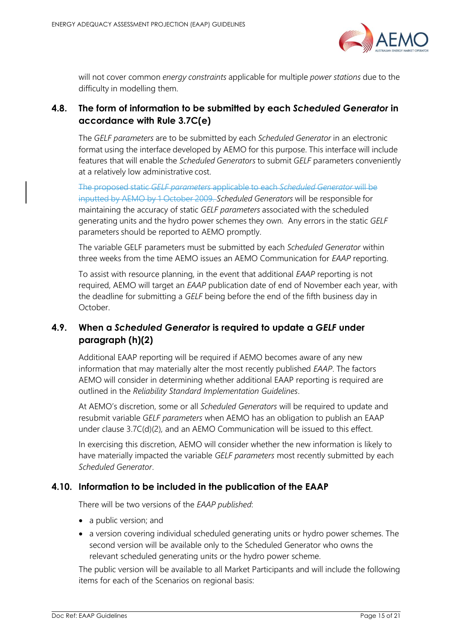

will not cover common *energy constraints* applicable for multiple *power stations* due to the difficulty in modelling them.

# <span id="page-14-3"></span><span id="page-14-0"></span>**4.8. The form of information to be submitted by each** *Scheduled Generator* **in accordance with Rule 3.7C(e)**

The *GELF parameters* are to be submitted by each *Scheduled Generator* in an electronic format using the interface developed by AEMO for this purpose. This interface will include features that will enable the *Scheduled Generators* to submit *GELF* parameters conveniently at a relatively low administrative cost.

The proposed static *GELF parameters* applicable to each *Scheduled Generator* will be inputted by AEMO by 1 October 2009. *Scheduled Generators* will be responsible for maintaining the accuracy of static *GELF parameters* associated with the scheduled generating units and the hydro power schemes they own. Any errors in the static *GELF* parameters should be reported to AEMO promptly.

The variable GELF parameters must be submitted by each *Scheduled Generator* within three weeks from the time AEMO issues an AEMO Communication for *EAAP* reporting.

To assist with resource planning, in the event that additional *EAAP* reporting is not required, AEMO will target an *EAAP* publication date of end of November each year, with the deadline for submitting a *GELF* being before the end of the fifth business day in October.

# <span id="page-14-1"></span>**4.9. When a** *Scheduled Generator* **is required to update a** *GELF* **under paragraph (h)(2)**

Additional EAAP reporting will be required if AEMO becomes aware of any new information that may materially alter the most recently published *EAAP*. The factors AEMO will consider in determining whether additional EAAP reporting is required are outlined in the *Reliability Standard Implementation Guidelines*.

At AEMO's discretion, some or all *Scheduled Generators* will be required to update and resubmit variable *GELF parameters* when AEMO has an obligation to publish an EAAP under clause 3.7C(d)(2)*,* and an AEMO Communication will be issued to this effect.

In exercising this discretion, AEMO will consider whether the new information is likely to have materially impacted the variable *GELF parameters* most recently submitted by each *Scheduled Generator*.

# <span id="page-14-4"></span><span id="page-14-2"></span>**4.10. Information to be included in the publication of the EAAP**

There will be two versions of the *EAAP published*:

- a public version; and
- a version covering individual scheduled generating units or hydro power schemes. The second version will be available only to the Scheduled Generator who owns the relevant scheduled generating units or the hydro power scheme.

The public version will be available to all Market Participants and will include the following items for each of the Scenarios on regional basis: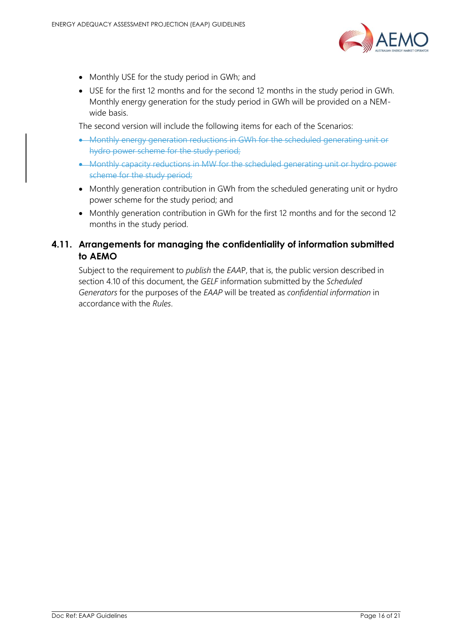

- Monthly USE for the study period in GWh; and
- USE for the first 12 months and for the second 12 months in the study period in GWh. Monthly energy generation for the study period in GWh will be provided on a NEMwide basis.

The second version will include the following items for each of the Scenarios:

- Monthly energy generation reductions in GWh for the scheduled generating unit or hydro power scheme for the study period;
- Monthly capacity reductions in MW for the scheduled generating unit or hydro power scheme for the study period;
- Monthly generation contribution in GWh from the scheduled generating unit or hydro power scheme for the study period; and
- Monthly generation contribution in GWh for the first 12 months and for the second 12 months in the study period.

# <span id="page-15-0"></span>**4.11. Arrangements for managing the confidentiality of information submitted to AEMO**

Subject to the requirement to *publish* the *EAA*P, that is, the public version described in section [4.10](#page-14-4) of this document, the *GELF* information submitted by the *Scheduled Generators* for the purposes of the *EAAP* will be treated as *confidential information* in accordance with the *Rules*.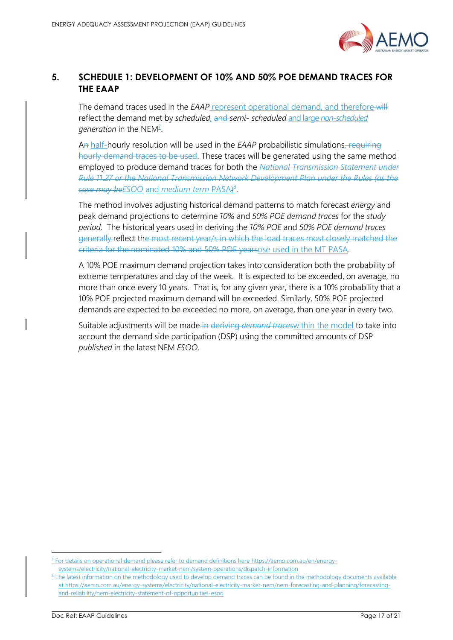

# <span id="page-16-0"></span>**5. SCHEDULE 1: DEVELOPMENT OF 10% AND 50% POE DEMAND TRACES FOR THE EAAP**

The demand traces used in the *EAAP* represent operational demand, and therefore-will reflect the demand met by *scheduled,* and *semi- scheduled* and large *non-scheduled*  g*eneration* in the NEM<del><sup>7</sup></del>.

An half-hourly resolution will be used in the *EAAP* probabilistic simulations, requiring hourly demand traces to be used. These traces will be generated using the same method employed to produce demand traces for both the *National Transmission Statement under Rule 11.27 or the National Transmission Network Development Plan under the Rules (as the case may beESOO* and *medium term* PASA) 8 .

The method involves adjusting historical demand patterns to match forecast *energy* and peak demand projections to determine *10%* and *50% POE demand traces* for the *study period*. The historical years used in deriving the *10% POE* and *50% POE demand traces* generally reflect the most recent year/s in which the load traces most closely matched the criteria for the nominated 10% and 50% POE yearsose used in the MT PASA.

A 10% POE maximum demand projection takes into consideration both the probability of extreme temperatures and day of the week. It is expected to be exceeded, on average, no more than once every 10 years. That is, for any given year, there is a 10% probability that a 10% POE projected maximum demand will be exceeded. Similarly, 50% POE projected demands are expected to be exceeded no more, on average, than one year in every two.

Suitable adjustments will be made in deriving *demand traces*within the model to take into account the demand side participation (DSP) using the committed amounts of DSP *published* in the latest NEM *ESOO*.

<sup>&</sup>lt;sup>7</sup> For details on operational demand please refer to demand definitions here [https://aemo.com.au/en/energy](https://aemo.com.au/en/energy-systems/electricity/national-electricity-market-nem/system-operations/dispatch-information)[systems/electricity/national-electricity-market-nem/system-operations/dispatch-information](https://aemo.com.au/en/energy-systems/electricity/national-electricity-market-nem/system-operations/dispatch-information)

<sup>&</sup>lt;sup>8</sup> The latest information on the methodology used to develop demand traces can be found in the methodology documents available at [https://aemo.com.au/energy-systems/electricity/national-electricity-market-nem/nem-forecasting-and-planning/forecasting](https://aemo.com.au/energy-systems/electricity/national-electricity-market-nem/nem-forecasting-and-planning/forecasting-and-reliability/nem-electricity-statement-of-opportunities-esoo)[and-reliability/nem-electricity-statement-of-opportunities-esoo](https://aemo.com.au/energy-systems/electricity/national-electricity-market-nem/nem-forecasting-and-planning/forecasting-and-reliability/nem-electricity-statement-of-opportunities-esoo)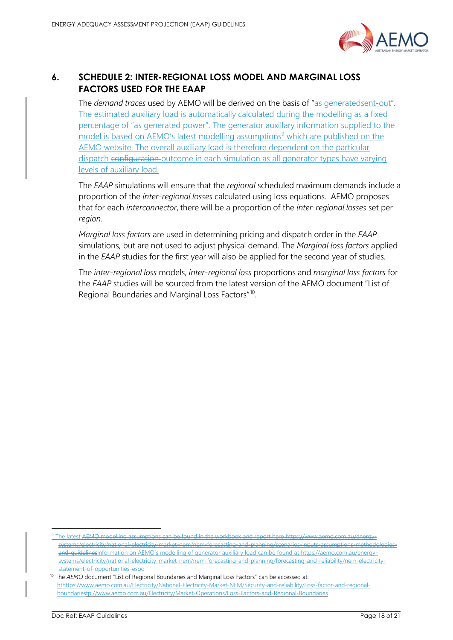

# <span id="page-17-0"></span>**6. SCHEDULE 2: INTER-REGIONAL LOSS MODEL AND MARGINAL LOSS FACTORS USED FOR THE EAAP**

The *demand traces* used by AEMO will be derived on the basis of "as generatedsent-out". The estimated auxiliary load is automatically calculated during the modelling as a fixed percentage of "as generated power". The generator auxillary information supplied to the model is based on AEMO's latest modelling assumptions<sup>9</sup> which are published on the AEMO website. The overall auxiliary load is therefore dependent on the particular dispatch configuration outcome in each simulation as all generator types have varying levels of auxiliary load.

The *EAAP* simulations will ensure that the *regional* scheduled maximum demands include a proportion of the *inter-regional losses* calculated using loss equations. AEMO proposes that for each *interconnector*, there will be a proportion of the *inter-regional losses* set per *region*.

*Marginal loss factors* are used in determining pricing and dispatch order in the *EAAP* simulations, but are not used to adjust physical demand. The *Marginal loss factors* applied in the *EAAP* studies for the first year will also be applied for the second year of studies.

The *inter-regional loss* models, *inter-regional loss* proportions and *marginal loss factors* for the *EAAP* studies will be sourced from the latest version of the AEMO document "List of Regional Boundaries and Marginal Loss Factors"<sup>10</sup>.

<sup>9</sup> The latest <del>AEMO modelling assumptions can be found in the workbook and report here https://www.aemo.</del> systems/electricity/national-electricity-market-nem/nem-forecasting-and-planning/scenarios-inputs-assumptions-methodologiesand-guidelinesinformation on AEMO's modelling of generator auxiliary load can be found at [https://aemo.com.au/energy](https://aemo.com.au/energy-systems/electricity/national-electricity-market-nem/nem-forecasting-and-planning/forecasting-and-reliability/nem-electricity-statement-of-opportunities-esoo)[systems/electricity/national-electricity-market-nem/nem-forecasting-and-planning/forecasting-and-reliability/nem-electricity](https://aemo.com.au/energy-systems/electricity/national-electricity-market-nem/nem-forecasting-and-planning/forecasting-and-reliability/nem-electricity-statement-of-opportunities-esoo)[statement-of-opportunities-esoo](https://aemo.com.au/energy-systems/electricity/national-electricity-market-nem/nem-forecasting-and-planning/forecasting-and-reliability/nem-electricity-statement-of-opportunities-esoo)

<sup>&</sup>lt;sup>10</sup> The AEMO document "List of Regional Boundaries and Marginal Loss Factors" can be accessed at: [hthttps://www.aemo.com.au/Electricity/National-Electricity-Market-NEM/Security-and-reliability/Loss-factor-and-regional](https://www.aemo.com.au/Electricity/National-Electricity-Market-NEM/Security-and-reliability/Loss-factor-and-regional-boundaries)[boundariestp://www.aemo.com.au/Electricity/Market-Operations/Loss-Factors-and-Regional-Boundaries](https://www.aemo.com.au/Electricity/National-Electricity-Market-NEM/Security-and-reliability/Loss-factor-and-regional-boundaries)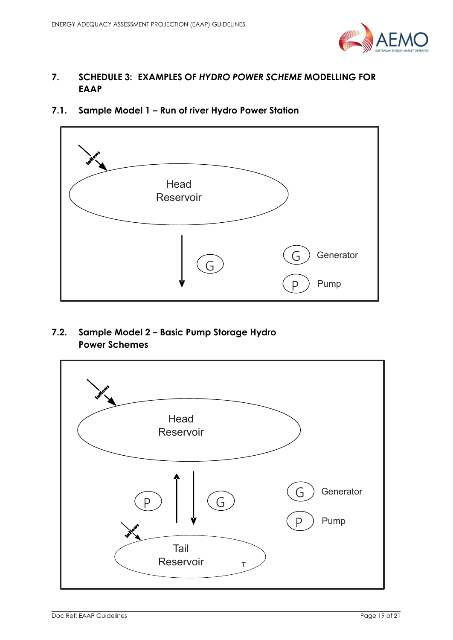

# <span id="page-18-0"></span>**7. SCHEDULE 3: EXAMPLES OF** *HYDRO POWER SCHEME* **MODELLING FOR EAAP**

<span id="page-18-1"></span>**7.1. Sample Model 1 – Run of river Hydro Power Station**



<span id="page-18-2"></span>**7.2. Sample Model 2 – Basic Pump Storage Hydro Power Schemes**

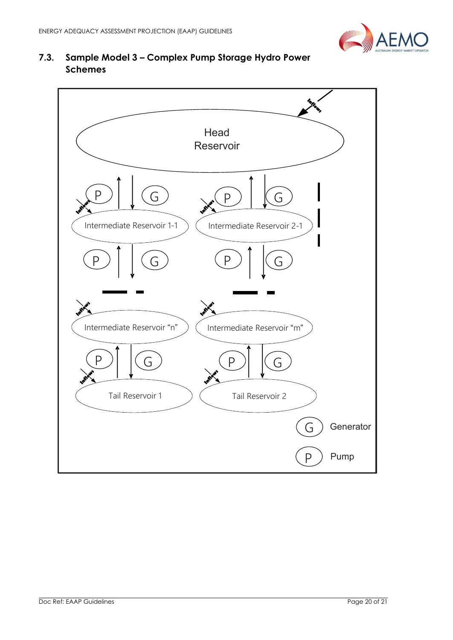

# <span id="page-19-0"></span>**7.3. Sample Model 3 – Complex Pump Storage Hydro Power Schemes**